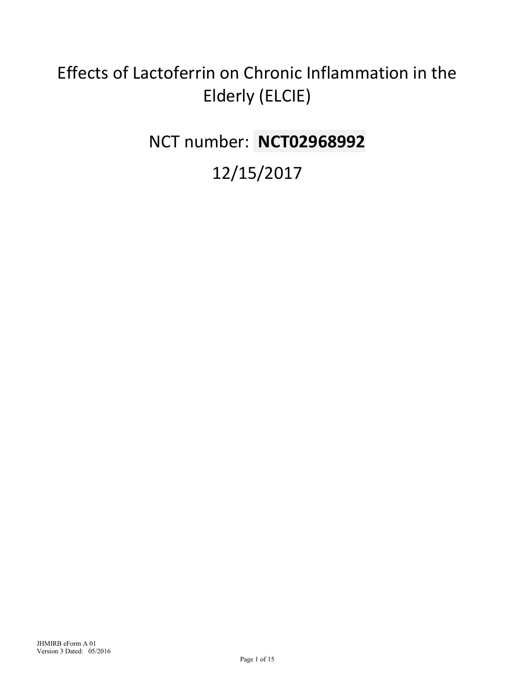# Effects of Lactoferrin on Chronic Inflammation in the Elderly (ELCIE)

NCT number: **NCT02968992**

# 12/15/2017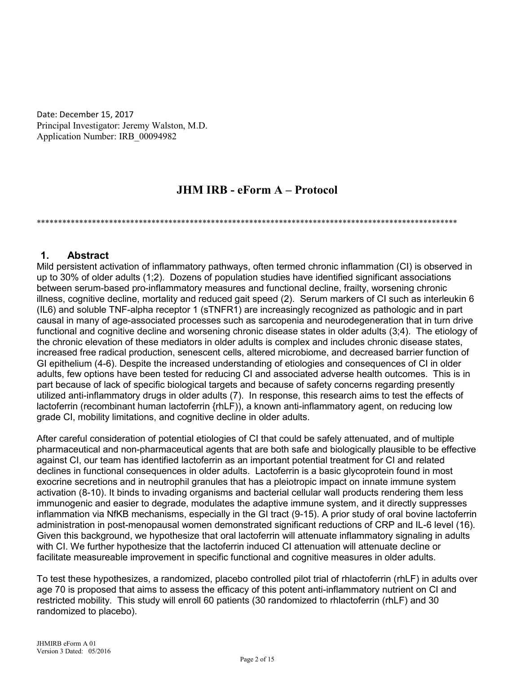Date: December 15, 2017 Principal Investigator: Jeremy Walston, M.D. Application Number: IRB\_00094982

# **JHM IRB - eForm A – Protocol**

#### \*\*\*\*\*\*\*\*\*\*\*\*\*\*\*\*\*\*\*\*\*\*\*\*\*\*\*\*\*\*\*\*\*\*\*\*\*\*\*\*\*\*\*\*\*\*\*\*\*\*\*\*\*\*\*\*\*\*\*\*\*\*\*\*\*\*\*\*\*\*\*\*\*\*\*\*\*\*\*\*\*\*\*\*\*\*\*\*\*\*\*\*\*\*\*\*\*\*\*

## **1. Abstract**

Mild persistent activation of inflammatory pathways, often termed chronic inflammation (CI) is observed in up to 30% of older adults (1;2). Dozens of population studies have identified significant associations between serum-based pro-inflammatory measures and functional decline, frailty, worsening chronic illness, cognitive decline, mortality and reduced gait speed (2). Serum markers of CI such as interleukin 6 (IL6) and soluble TNF-alpha receptor 1 (sTNFR1) are increasingly recognized as pathologic and in part causal in many of age-associated processes such as sarcopenia and neurodegeneration that in turn drive functional and cognitive decline and worsening chronic disease states in older adults (3;4). The etiology of the chronic elevation of these mediators in older adults is complex and includes chronic disease states, increased free radical production, senescent cells, altered microbiome, and decreased barrier function of GI epithelium (4-6). Despite the increased understanding of etiologies and consequences of CI in older adults, few options have been tested for reducing CI and associated adverse health outcomes. This is in part because of lack of specific biological targets and because of safety concerns regarding presently utilized anti-inflammatory drugs in older adults (7). In response, this research aims to test the effects of lactoferrin (recombinant human lactoferrin {rhLF)), a known anti-inflammatory agent, on reducing low grade CI, mobility limitations, and cognitive decline in older adults.

After careful consideration of potential etiologies of CI that could be safely attenuated, and of multiple pharmaceutical and non-pharmaceutical agents that are both safe and biologically plausible to be effective against CI, our team has identified lactoferrin as an important potential treatment for CI and related declines in functional consequences in older adults. Lactoferrin is a basic glycoprotein found in most exocrine secretions and in neutrophil granules that has a pleiotropic impact on innate immune system activation (8-10). It binds to invading organisms and bacterial cellular wall products rendering them less immunogenic and easier to degrade, modulates the adaptive immune system, and it directly suppresses inflammation via NfKB mechanisms, especially in the GI tract (9-15). A prior study of oral bovine lactoferrin administration in post-menopausal women demonstrated significant reductions of CRP and IL-6 level (16). Given this background, we hypothesize that oral lactoferrin will attenuate inflammatory signaling in adults with CI. We further hypothesize that the lactoferrin induced CI attenuation will attenuate decline or facilitate measureable improvement in specific functional and cognitive measures in older adults.

To test these hypothesizes, a randomized, placebo controlled pilot trial of rhlactoferrin (rhLF) in adults over age 70 is proposed that aims to assess the efficacy of this potent anti-inflammatory nutrient on CI and restricted mobility. This study will enroll 60 patients (30 randomized to rhlactoferrin (rhLF) and 30 randomized to placebo).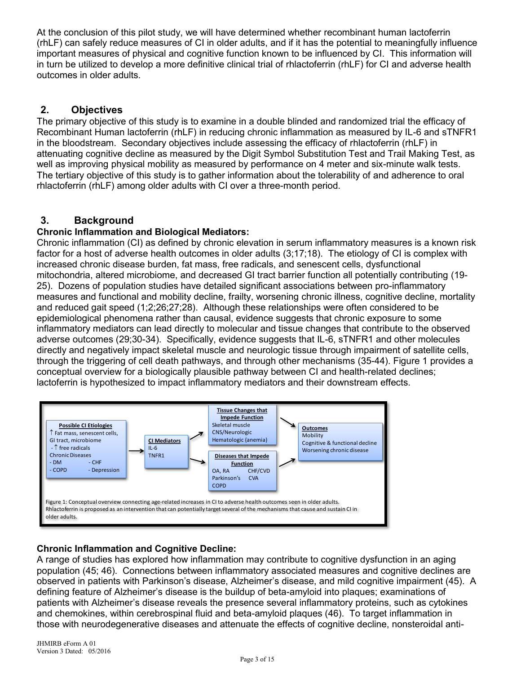At the conclusion of this pilot study, we will have determined whether recombinant human lactoferrin (rhLF) can safely reduce measures of CI in older adults, and if it has the potential to meaningfully influence important measures of physical and cognitive function known to be influenced by CI. This information will in turn be utilized to develop a more definitive clinical trial of rhlactoferrin (rhLF) for CI and adverse health outcomes in older adults.

# **2. Objectives**

The primary objective of this study is to examine in a double blinded and randomized trial the efficacy of Recombinant Human lactoferrin (rhLF) in reducing chronic inflammation as measured by IL-6 and sTNFR1 in the bloodstream. Secondary objectives include assessing the efficacy of rhlactoferrin (rhLF) in attenuating cognitive decline as measured by the Digit Symbol Substitution Test and Trail Making Test, as well as improving physical mobility as measured by performance on 4 meter and six-minute walk tests. The tertiary objective of this study is to gather information about the tolerability of and adherence to oral rhlactoferrin (rhLF) among older adults with CI over a three-month period.

# **3. Background**

## **Chronic Inflammation and Biological Mediators:**

Chronic inflammation (CI) as defined by chronic elevation in serum inflammatory measures is a known risk factor for a host of adverse health outcomes in older adults (3;17;18). The etiology of CI is complex with increased chronic disease burden, fat mass, free radicals, and senescent cells, dysfunctional mitochondria, altered microbiome, and decreased GI tract barrier function all potentially contributing (19- 25). Dozens of population studies have detailed significant associations between pro-inflammatory measures and functional and mobility decline, frailty, worsening chronic illness, cognitive decline, mortality and reduced gait speed (1;2;26;27;28). Although these relationships were often considered to be epidemiological phenomena rather than causal, evidence suggests that chronic exposure to some inflammatory mediators can lead directly to molecular and tissue changes that contribute to the observed adverse outcomes (29;30-34). Specifically, evidence suggests that IL-6, sTNFR1 and other molecules directly and negatively impact skeletal muscle and neurologic tissue through impairment of satellite cells, through the triggering of cell death pathways, and through other mechanisms (35-44). Figure 1 provides a conceptual overview for a biologically plausible pathway between CI and health-related declines; lactoferrin is hypothesized to impact inflammatory mediators and their downstream effects.



## **Chronic Inflammation and Cognitive Decline:**

A range of studies has explored how inflammation may contribute to cognitive dysfunction in an aging population (45; 46). Connections between inflammatory associated measures and cognitive declines are observed in patients with Parkinson's disease, Alzheimer's disease, and mild cognitive impairment (45). A defining feature of Alzheimer's disease is the buildup of beta-amyloid into plaques; examinations of patients with Alzheimer's disease reveals the presence several inflammatory proteins, such as cytokines and chemokines, within cerebrospinal fluid and beta-amyloid plaques (46). To target inflammation in those with neurodegenerative diseases and attenuate the effects of cognitive decline, nonsteroidal anti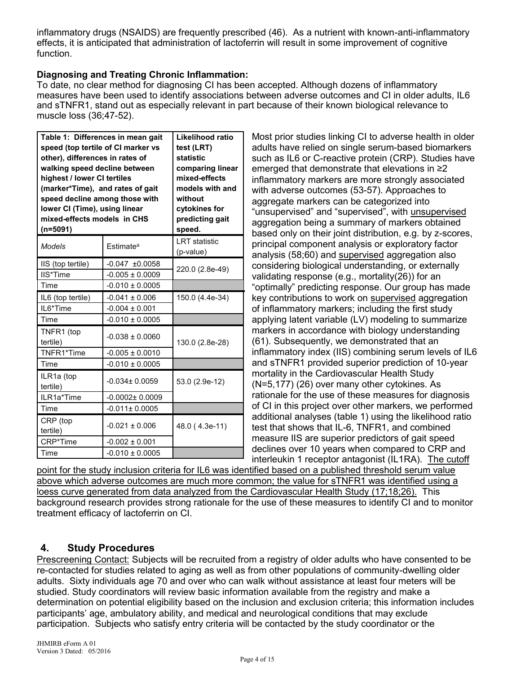inflammatory drugs (NSAIDS) are frequently prescribed (46). As a nutrient with known-anti-inflammatory effects, it is anticipated that administration of lactoferrin will result in some improvement of cognitive function.

## **Diagnosing and Treating Chronic Inflammation:**

To date, no clear method for diagnosing CI has been accepted. Although dozens of inflammatory measures have been used to identify associations between adverse outcomes and CI in older adults, IL6 and sTNFR1, stand out as especially relevant in part because of their known biological relevance to muscle loss (36;47-52).

| Table 1: Differences in mean gait<br>speed (top tertile of CI marker vs<br>other), differences in rates of<br>walking speed decline between<br>highest / lower CI tertiles<br>(marker*Time), and rates of gait<br>speed decline among those with<br>lower CI (Time), using linear<br>mixed-effects models in CHS<br>$(n=5091)$ | Likelihood ratio<br>test (LRT)<br><b>statistic</b><br>comparing linear<br>mixed-effects<br>models with and<br>without<br>cytokines for<br>predicting gait<br>speed. |                                   |  |  |
|--------------------------------------------------------------------------------------------------------------------------------------------------------------------------------------------------------------------------------------------------------------------------------------------------------------------------------|---------------------------------------------------------------------------------------------------------------------------------------------------------------------|-----------------------------------|--|--|
| Models                                                                                                                                                                                                                                                                                                                         | Estimate <sup>a</sup>                                                                                                                                               | <b>LRT</b> statistic<br>(p-value) |  |  |
| IIS (top tertile)<br>IIS*Time                                                                                                                                                                                                                                                                                                  | $-0.047 + 0.0058$<br>$-0.005 \pm 0.0009$                                                                                                                            | 220.0 (2.8e-49)                   |  |  |
| Time                                                                                                                                                                                                                                                                                                                           | $-0.010 \pm 0.0005$                                                                                                                                                 |                                   |  |  |
| IL6 (top tertile)<br>IL6*Time                                                                                                                                                                                                                                                                                                  | $-0.041 \pm 0.006$<br>$-0.004 \pm 0.001$                                                                                                                            | 150.0 (4.4e-34)                   |  |  |
| Time<br>TNFR1 (top<br>tertile)                                                                                                                                                                                                                                                                                                 | $-0.010 \pm 0.0005$<br>$-0.038 \pm 0.0060$                                                                                                                          | 130.0 (2.8e-28)                   |  |  |
| TNFR1*Time                                                                                                                                                                                                                                                                                                                     | $-0.005 \pm 0.0010$                                                                                                                                                 |                                   |  |  |
| Time<br>ILR1a (top<br>tertile)                                                                                                                                                                                                                                                                                                 | $-0.010 \pm 0.0005$<br>$-0.034 \pm 0.0059$                                                                                                                          | 53.0 (2.9e-12)                    |  |  |
| ILR1a*Time                                                                                                                                                                                                                                                                                                                     | $-0.0002 \pm 0.0009$                                                                                                                                                |                                   |  |  |
| Time                                                                                                                                                                                                                                                                                                                           | $-0.011 \pm 0.0005$                                                                                                                                                 |                                   |  |  |
| CRP (top<br>tertile)                                                                                                                                                                                                                                                                                                           | $-0.021 \pm 0.006$                                                                                                                                                  | 48.0 (4.3e-11)                    |  |  |
| CRP*Time<br>Time                                                                                                                                                                                                                                                                                                               | $-0.002 \pm 0.001$<br>$-0.010 \pm 0.0005$                                                                                                                           |                                   |  |  |
|                                                                                                                                                                                                                                                                                                                                |                                                                                                                                                                     |                                   |  |  |

Most prior studies linking CI to adverse health in older adults have relied on single serum-based biomarkers such as IL6 or C-reactive protein (CRP). Studies have emerged that demonstrate that elevations in ≥2 inflammatory markers are more strongly associated with adverse outcomes (53-57). Approaches to aggregate markers can be categorized into "unsupervised" and "supervised", with unsupervised aggregation being a summary of markers obtained based only on their joint distribution, e.g. by z-scores, principal component analysis or exploratory factor analysis (58;60) and supervised aggregation also considering biological understanding, or externally validating response (e.g., mortality(26)) for an "optimally" predicting response. Our group has made key contributions to work on supervised aggregation of inflammatory markers; including the first study applying latent variable (LV) modeling to summarize markers in accordance with biology understanding (61). Subsequently, we demonstrated that an inflammatory index (IIS) combining serum levels of IL6 and sTNFR1 provided superior prediction of 10-year mortality in the Cardiovascular Health Study (N=5,177) (26) over many other cytokines. As rationale for the use of these measures for diagnosis of CI in this project over other markers, we performed additional analyses (table 1) using the likelihood ratio test that shows that IL-6, TNFR1, and combined measure IIS are superior predictors of gait speed declines over 10 years when compared to CRP and interleukin 1 receptor antagonist (IL1RA). The cutoff

point for the study inclusion criteria for IL6 was identified based on a published threshold serum value above which adverse outcomes are much more common; the value for sTNFR1 was identified using a loess curve generated from data analyzed from the Cardiovascular Health Study (17;18;26). This background research provides strong rationale for the use of these measures to identify CI and to monitor treatment efficacy of lactoferrin on CI.

# **4. Study Procedures**

Prescreening Contact: Subjects will be recruited from a registry of older adults who have consented to be re-contacted for studies related to aging as well as from other populations of community-dwelling older adults. Sixty individuals age 70 and over who can walk without assistance at least four meters will be studied. Study coordinators will review basic information available from the registry and make a determination on potential eligibility based on the inclusion and exclusion criteria; this information includes participants' age, ambulatory ability, and medical and neurological conditions that may exclude participation. Subjects who satisfy entry criteria will be contacted by the study coordinator or the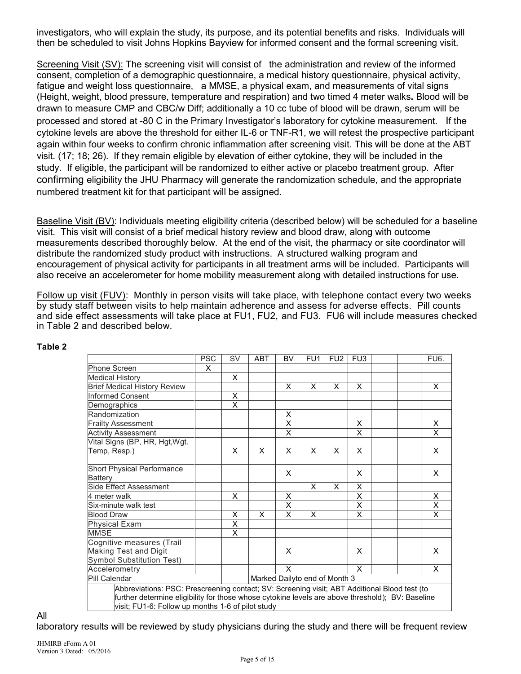investigators, who will explain the study, its purpose, and its potential benefits and risks. Individuals will then be scheduled to visit Johns Hopkins Bayview for informed consent and the formal screening visit.

Screening Visit (SV): The screening visit will consist of the administration and review of the informed consent, completion of a demographic questionnaire, a medical history questionnaire, physical activity, fatigue and weight loss questionnaire, a MMSE, a physical exam, and measurements of vital signs (Height, weight, blood pressure, temperature and respiration) and two timed 4 meter walks**.** Blood will be drawn to measure CMP and CBC/w Diff; additionally a 10 cc tube of blood will be drawn, serum will be processed and stored at -80 C in the Primary Investigator's laboratory for cytokine measurement. If the cytokine levels are above the threshold for either IL-6 or TNF-R1, we will retest the prospective participant again within four weeks to confirm chronic inflammation after screening visit. This will be done at the ABT visit. (17; 18; 26). If they remain eligible by elevation of either cytokine, they will be included in the study. If eligible, the participant will be randomized to either active or placebo treatment group. After confirming eligibility the JHU Pharmacy will generate the randomization schedule, and the appropriate numbered treatment kit for that participant will be assigned.

Baseline Visit (BV): Individuals meeting eligibility criteria (described below) will be scheduled for a baseline visit. This visit will consist of a brief medical history review and blood draw, along with outcome measurements described thoroughly below. At the end of the visit, the pharmacy or site coordinator will distribute the randomized study product with instructions. A structured walking program and encouragement of physical activity for participants in all treatment arms will be included. Participants will also receive an accelerometer for home mobility measurement along with detailed instructions for use.

Follow up visit (FUV): Monthly in person visits will take place, with telephone contact every two weeks by study staff between visits to help maintain adherence and assess for adverse effects. Pill counts and side effect assessments will take place at FU1, FU2, and FU3. FU6 will include measures checked in Table 2 and described below.

|                                                                                                                                                                                                                                                       | <b>PSC</b>                    | <b>SV</b> | <b>ABT</b> | <b>BV</b> | FU <sub>1</sub> | FU <sub>2</sub> | FU <sub>3</sub>         |  |  | <b>FU6.</b> |
|-------------------------------------------------------------------------------------------------------------------------------------------------------------------------------------------------------------------------------------------------------|-------------------------------|-----------|------------|-----------|-----------------|-----------------|-------------------------|--|--|-------------|
| Phone Screen                                                                                                                                                                                                                                          | X                             |           |            |           |                 |                 |                         |  |  |             |
| <b>Medical History</b>                                                                                                                                                                                                                                |                               | X         |            |           |                 |                 |                         |  |  |             |
| <b>Brief Medical History Review</b>                                                                                                                                                                                                                   |                               |           |            | X.        | X               | X               | X                       |  |  | X           |
| Informed Consent                                                                                                                                                                                                                                      |                               | X         |            |           |                 |                 |                         |  |  |             |
| Demographics                                                                                                                                                                                                                                          |                               | X         |            |           |                 |                 |                         |  |  |             |
| Randomization                                                                                                                                                                                                                                         |                               |           |            | X         |                 |                 |                         |  |  |             |
| <b>Frailty Assessment</b>                                                                                                                                                                                                                             |                               |           |            | X         |                 |                 | X                       |  |  | X           |
| <b>Activity Assessment</b>                                                                                                                                                                                                                            |                               |           |            | X         |                 |                 | X                       |  |  | X           |
| Vital Signs (BP, HR, Hgt, Wgt.                                                                                                                                                                                                                        |                               |           |            |           |                 |                 |                         |  |  |             |
| Temp, Resp.)                                                                                                                                                                                                                                          |                               | X         | X          | X         | X               | X               | X                       |  |  | X           |
| Short Physical Performance<br><b>Battery</b>                                                                                                                                                                                                          |                               |           |            | X         |                 |                 | X                       |  |  | $\times$    |
| Side Effect Assessment                                                                                                                                                                                                                                |                               |           |            |           | X               | X               | X                       |  |  |             |
| 4 meter walk                                                                                                                                                                                                                                          |                               | X         |            | X         |                 |                 | $\overline{\mathsf{x}}$ |  |  | X.          |
| Six-minute walk test                                                                                                                                                                                                                                  |                               |           |            | X         |                 |                 | $\overline{\mathsf{x}}$ |  |  | X           |
| <b>Blood Draw</b>                                                                                                                                                                                                                                     |                               | X         | X          | X         | X               |                 | X                       |  |  | X           |
| <b>Physical Exam</b>                                                                                                                                                                                                                                  |                               | X         |            |           |                 |                 |                         |  |  |             |
| MMSE                                                                                                                                                                                                                                                  |                               | X         |            |           |                 |                 |                         |  |  |             |
| Cognitive measures (Trail<br>Making Test and Digit<br>Symbol Substitution Test)                                                                                                                                                                       |                               |           |            | X.        |                 |                 | X                       |  |  | X.          |
| Accelerometry                                                                                                                                                                                                                                         |                               |           |            | X         |                 |                 | X                       |  |  | X           |
| Pill Calendar                                                                                                                                                                                                                                         | Marked Dailyto end of Month 3 |           |            |           |                 |                 |                         |  |  |             |
| Abbreviations: PSC: Prescreening contact; SV: Screening visit; ABT Additional Blood test (to<br>further determine eligibility for those whose cytokine levels are above threshold); BV: Baseline<br>visit; FU1-6: Follow up months 1-6 of pilot study |                               |           |            |           |                 |                 |                         |  |  |             |

#### **Table 2**

All

laboratory results will be reviewed by study physicians during the study and there will be frequent review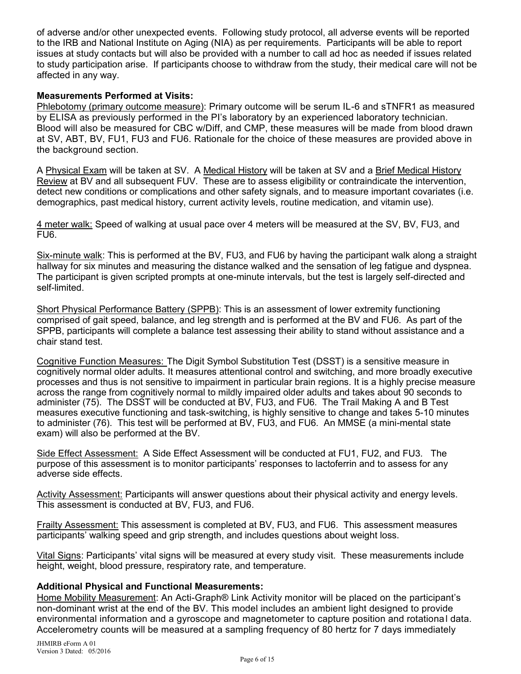of adverse and/or other unexpected events. Following study protocol, all adverse events will be reported to the IRB and National Institute on Aging (NIA) as per requirements. Participants will be able to report issues at study contacts but will also be provided with a number to call ad hoc as needed if issues related to study participation arise. If participants choose to withdraw from the study, their medical care will not be affected in any way.

#### **Measurements Performed at Visits:**

Phlebotomy (primary outcome measure): Primary outcome will be serum IL-6 and sTNFR1 as measured by ELISA as previously performed in the PI's laboratory by an experienced laboratory technician. Blood will also be measured for CBC w/Diff, and CMP, these measures will be made from blood drawn at SV, ABT, BV, FU1, FU3 and FU6. Rationale for the choice of these measures are provided above in the background section.

A Physical Exam will be taken at SV. A Medical History will be taken at SV and a Brief Medical History Review at BV and all subsequent FUV. These are to assess eligibility or contraindicate the intervention, detect new conditions or complications and other safety signals, and to measure important covariates (i.e. demographics, past medical history, current activity levels, routine medication, and vitamin use).

4 meter walk: Speed of walking at usual pace over 4 meters will be measured at the SV, BV, FU3, and FU6.

Six-minute walk: This is performed at the BV, FU3, and FU6 by having the participant walk along a straight hallway for six minutes and measuring the distance walked and the sensation of leg fatigue and dyspnea. The participant is given scripted prompts at one-minute intervals, but the test is largely self-directed and self-limited.

Short Physical Performance Battery (SPPB): This is an assessment of lower extremity functioning comprised of gait speed, balance, and leg strength and is performed at the BV and FU6. As part of the SPPB, participants will complete a balance test assessing their ability to stand without assistance and a chair stand test.

Cognitive Function Measures: The Digit Symbol Substitution Test (DSST) is a sensitive measure in cognitively normal older adults. It measures attentional control and switching, and more broadly executive processes and thus is not sensitive to impairment in particular brain regions. It is a highly precise measure across the range from cognitively normal to mildly impaired older adults and takes about 90 seconds to administer (75). The DSST will be conducted at BV, FU3, and FU6. The Trail Making A and B Test measures executive functioning and task-switching, is highly sensitive to change and takes 5-10 minutes to administer (76). This test will be performed at BV, FU3, and FU6. An MMSE (a mini-mental state exam) will also be performed at the BV.

Side Effect Assessment: A Side Effect Assessment will be conducted at FU1, FU2, and FU3. The purpose of this assessment is to monitor participants' responses to lactoferrin and to assess for any adverse side effects.

Activity Assessment: Participants will answer questions about their physical activity and energy levels. This assessment is conducted at BV, FU3, and FU6.

Frailty Assessment: This assessment is completed at BV, FU3, and FU6. This assessment measures participants' walking speed and grip strength, and includes questions about weight loss.

Vital Signs: Participants' vital signs will be measured at every study visit. These measurements include height, weight, blood pressure, respiratory rate, and temperature.

#### **Additional Physical and Functional Measurements:**

Home Mobility Measurement: An Acti-Graph® Link Activity monitor will be placed on the participant's non-dominant wrist at the end of the BV. This model includes an ambient light designed to provide environmental information and a gyroscope and magnetometer to capture position and rotational data. Accelerometry counts will be measured at a sampling frequency of 80 hertz for 7 days immediately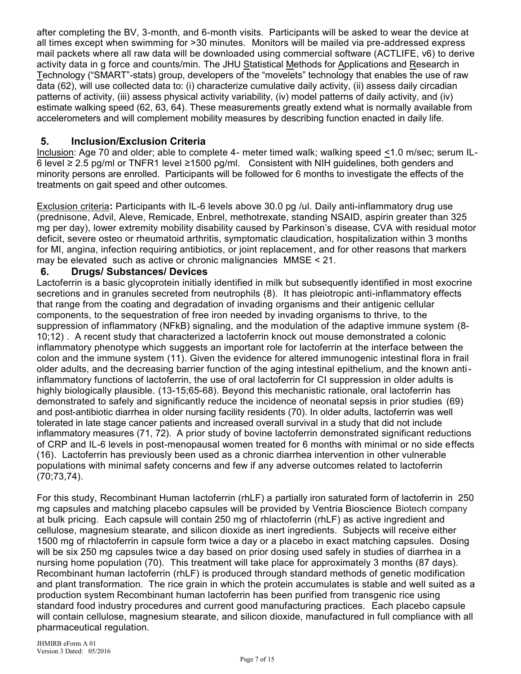after completing the BV, 3-month, and 6-month visits. Participants will be asked to wear the device at all times except when swimming for >30 minutes. Monitors will be mailed via pre-addressed express mail packets where all raw data will be downloaded using commercial software (ACTLIFE, v6) to derive activity data in g force and counts/min. The JHU Statistical Methods for Applications and Research in Technology ("SMART"-stats) group, developers of the "movelets" technology that enables the use of raw data (62), will use collected data to: (i) characterize cumulative daily activity, (ii) assess daily circadian patterns of activity, (iii) assess physical activity variability, (iv) model patterns of daily activity, and (iv) estimate walking speed (62, 63, 64). These measurements greatly extend what is normally available from accelerometers and will complement mobility measures by describing function enacted in daily life.

# **5. Inclusion/Exclusion Criteria**

Inclusion: Age 70 and older; able to complete 4- meter timed walk; walking speed <1.0 m/sec; serum IL-6 level ≥ 2.5 pg/ml or TNFR1 level ≥1500 pg/ml. Consistent with NIH guidelines, both genders and minority persons are enrolled. Participants will be followed for 6 months to investigate the effects of the treatments on gait speed and other outcomes.

Exclusion criteria**:** Participants with IL-6 levels above 30.0 pg /ul. Daily anti-inflammatory drug use (prednisone, Advil, Aleve, Remicade, Enbrel, methotrexate, standing NSAID, aspirin greater than 325 mg per day), lower extremity mobility disability caused by Parkinson's disease, CVA with residual motor deficit, severe osteo or rheumatoid arthritis, symptomatic claudication, hospitalization within 3 months for MI, angina, infection requiring antibiotics, or joint replacement, and for other reasons that markers may be elevated such as active or chronic malignancies MMSE < 21.

# **6. Drugs/ Substances/ Devices**

Lactoferrin is a basic glycoprotein initially identified in milk but subsequently identified in most exocrine secretions and in granules secreted from neutrophils (8). It has pleiotropic anti-inflammatory effects that range from the coating and degradation of invading organisms and their antigenic cellular components, to the sequestration of free iron needed by invading organisms to thrive, to the suppression of inflammatory (NFkB) signaling, and the modulation of the adaptive immune system (8- 10;12) . A recent study that characterized a lactoferrin knock out mouse demonstrated a colonic inflammatory phenotype which suggests an important role for lactoferrin at the interface between the colon and the immune system (11). Given the evidence for altered immunogenic intestinal flora in frail older adults, and the decreasing barrier function of the aging intestinal epithelium, and the known antiinflammatory functions of lactoferrin, the use of oral lactoferrin for CI suppression in older adults is highly biologically plausible. (13-15;65-68). Beyond this mechanistic rationale, oral lactoferrin has demonstrated to safely and significantly reduce the incidence of neonatal sepsis in prior studies (69) and post-antibiotic diarrhea in older nursing facility residents (70). In older adults, lactoferrin was well tolerated in late stage cancer patients and increased overall survival in a study that did not include inflammatory measures (71, 72). A prior study of bovine lactoferrin demonstrated significant reductions of CRP and IL-6 levels in post-menopausal women treated for 6 months with minimal or no side effects (16). Lactoferrin has previously been used as a chronic diarrhea intervention in other vulnerable populations with minimal safety concerns and few if any adverse outcomes related to lactoferrin (70;73,74).

For this study, Recombinant Human lactoferrin (rhLF) a partially iron saturated form of lactoferrin in 250 mg capsules and matching placebo capsules will be provided by Ventria Bioscience Biotech company at bulk pricing. Each capsule will contain 250 mg of rhlactoferrin (rhLF) as active ingredient and cellulose, magnesium stearate, and silicon dioxide as inert ingredients. Subjects will receive either 1500 mg of rhlactoferrin in capsule form twice a day or a placebo in exact matching capsules. Dosing will be six 250 mg capsules twice a day based on prior dosing used safely in studies of diarrhea in a nursing home population (70). This treatment will take place for approximately 3 months (87 days). Recombinant human lactoferrin (rhLF) is produced through standard methods of genetic modification and plant transformation. The rice grain in which the protein accumulates is stable and well suited as a production system Recombinant human lactoferrin has been purified from transgenic rice using standard food industry procedures and current good manufacturing practices. Each placebo capsule will contain cellulose, magnesium stearate, and silicon dioxide, manufactured in full compliance with all pharmaceutical regulation.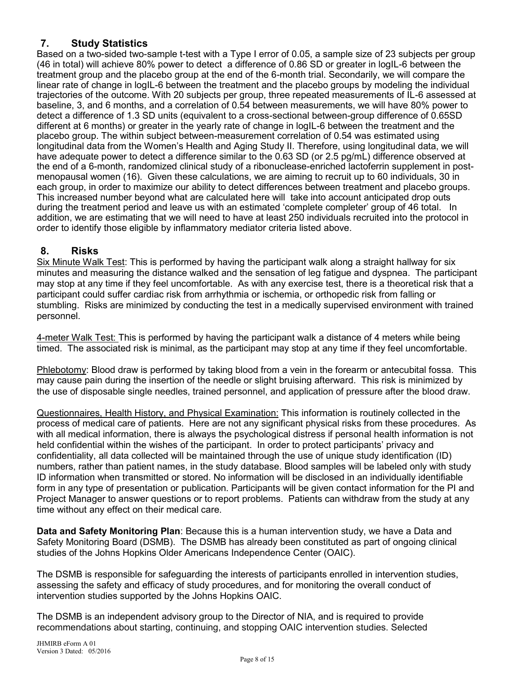# **7. Study Statistics**

Based on a two-sided two-sample t-test with a Type I error of 0.05, a sample size of 23 subjects per group (46 in total) will achieve 80% power to detect a difference of 0.86 SD or greater in logIL-6 between the treatment group and the placebo group at the end of the 6-month trial. Secondarily, we will compare the linear rate of change in logIL-6 between the treatment and the placebo groups by modeling the individual trajectories of the outcome. With 20 subjects per group, three repeated measurements of IL-6 assessed at baseline, 3, and 6 months, and a correlation of 0.54 between measurements, we will have 80% power to detect a difference of 1.3 SD units (equivalent to a cross-sectional between-group difference of 0.65SD different at 6 months) or greater in the yearly rate of change in logIL-6 between the treatment and the placebo group. The within subject between-measurement correlation of 0.54 was estimated using longitudinal data from the Women's Health and Aging Study II. Therefore, using longitudinal data, we will have adequate power to detect a difference similar to the 0.63 SD (or 2.5 pg/mL) difference observed at the end of a 6-month, randomized clinical study of a ribonuclease-enriched lactoferrin supplement in postmenopausal women (16). Given these calculations, we are aiming to recruit up to 60 individuals, 30 in each group, in order to maximize our ability to detect differences between treatment and placebo groups. This increased number beyond what are calculated here will take into account anticipated drop outs during the treatment period and leave us with an estimated 'complete completer' group of 46 total. In addition, we are estimating that we will need to have at least 250 individuals recruited into the protocol in order to identify those eligible by inflammatory mediator criteria listed above.

# **8. Risks**

Six Minute Walk Test: This is performed by having the participant walk along a straight hallway for six minutes and measuring the distance walked and the sensation of leg fatigue and dyspnea. The participant may stop at any time if they feel uncomfortable. As with any exercise test, there is a theoretical risk that a participant could suffer cardiac risk from arrhythmia or ischemia, or orthopedic risk from falling or stumbling. Risks are minimized by conducting the test in a medically supervised environment with trained personnel.

4-meter Walk Test: This is performed by having the participant walk a distance of 4 meters while being timed. The associated risk is minimal, as the participant may stop at any time if they feel uncomfortable.

Phlebotomy: Blood draw is performed by taking blood from a vein in the forearm or antecubital fossa. This may cause pain during the insertion of the needle or slight bruising afterward. This risk is minimized by the use of disposable single needles, trained personnel, and application of pressure after the blood draw.

Questionnaires, Health History, and Physical Examination: This information is routinely collected in the process of medical care of patients. Here are not any significant physical risks from these procedures. As with all medical information, there is always the psychological distress if personal health information is not held confidential within the wishes of the participant. In order to protect participants' privacy and confidentiality, all data collected will be maintained through the use of unique study identification (ID) numbers, rather than patient names, in the study database. Blood samples will be labeled only with study ID information when transmitted or stored. No information will be disclosed in an individually identifiable form in any type of presentation or publication. Participants will be given contact information for the PI and Project Manager to answer questions or to report problems. Patients can withdraw from the study at any time without any effect on their medical care.

**Data and Safety Monitoring Plan**: Because this is a human intervention study, we have a Data and Safety Monitoring Board (DSMB). The DSMB has already been constituted as part of ongoing clinical studies of the Johns Hopkins Older Americans Independence Center (OAIC).

The DSMB is responsible for safeguarding the interests of participants enrolled in intervention studies, assessing the safety and efficacy of study procedures, and for monitoring the overall conduct of intervention studies supported by the Johns Hopkins OAIC.

The DSMB is an independent advisory group to the Director of NIA, and is required to provide recommendations about starting, continuing, and stopping OAIC intervention studies. Selected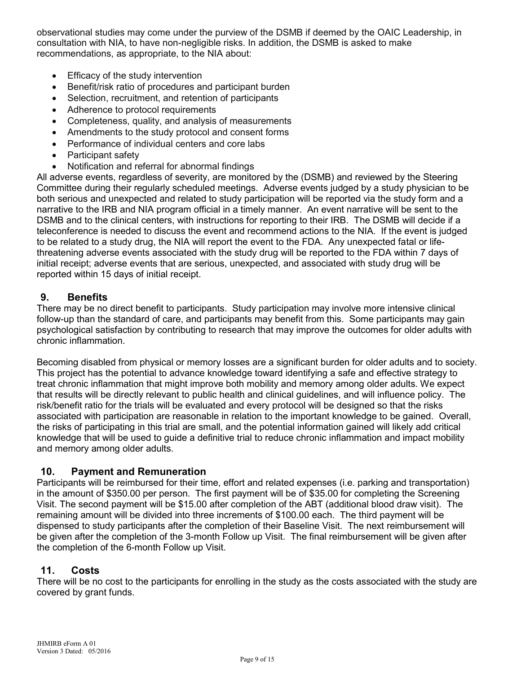observational studies may come under the purview of the DSMB if deemed by the OAIC Leadership, in consultation with NIA, to have non-negligible risks. In addition, the DSMB is asked to make recommendations, as appropriate, to the NIA about:

- Efficacy of the study intervention
- Benefit/risk ratio of procedures and participant burden
- Selection, recruitment, and retention of participants
- Adherence to protocol requirements
- Completeness, quality, and analysis of measurements
- Amendments to the study protocol and consent forms
- Performance of individual centers and core labs
- Participant safety
- Notification and referral for abnormal findings

All adverse events, regardless of severity, are monitored by the (DSMB) and reviewed by the Steering Committee during their regularly scheduled meetings. Adverse events judged by a study physician to be both serious and unexpected and related to study participation will be reported via the study form and a narrative to the IRB and NIA program official in a timely manner. An event narrative will be sent to the DSMB and to the clinical centers, with instructions for reporting to their IRB. The DSMB will decide if a teleconference is needed to discuss the event and recommend actions to the NIA. If the event is judged to be related to a study drug, the NIA will report the event to the FDA. Any unexpected fatal or lifethreatening adverse events associated with the study drug will be reported to the FDA within 7 days of initial receipt; adverse events that are serious, unexpected, and associated with study drug will be reported within 15 days of initial receipt.

## **9. Benefits**

There may be no direct benefit to participants. Study participation may involve more intensive clinical follow-up than the standard of care, and participants may benefit from this. Some participants may gain psychological satisfaction by contributing to research that may improve the outcomes for older adults with chronic inflammation.

Becoming disabled from physical or memory losses are a significant burden for older adults and to society. This project has the potential to advance knowledge toward identifying a safe and effective strategy to treat chronic inflammation that might improve both mobility and memory among older adults. We expect that results will be directly relevant to public health and clinical guidelines, and will influence policy. The risk/benefit ratio for the trials will be evaluated and every protocol will be designed so that the risks associated with participation are reasonable in relation to the important knowledge to be gained. Overall, the risks of participating in this trial are small, and the potential information gained will likely add critical knowledge that will be used to guide a definitive trial to reduce chronic inflammation and impact mobility and memory among older adults.

## **10. Payment and Remuneration**

Participants will be reimbursed for their time, effort and related expenses (i.e. parking and transportation) in the amount of \$350.00 per person. The first payment will be of \$35.00 for completing the Screening Visit. The second payment will be \$15.00 after completion of the ABT (additional blood draw visit). The remaining amount will be divided into three increments of \$100.00 each. The third payment will be dispensed to study participants after the completion of their Baseline Visit. The next reimbursement will be given after the completion of the 3-month Follow up Visit. The final reimbursement will be given after the completion of the 6-month Follow up Visit.

## **11. Costs**

There will be no cost to the participants for enrolling in the study as the costs associated with the study are covered by grant funds.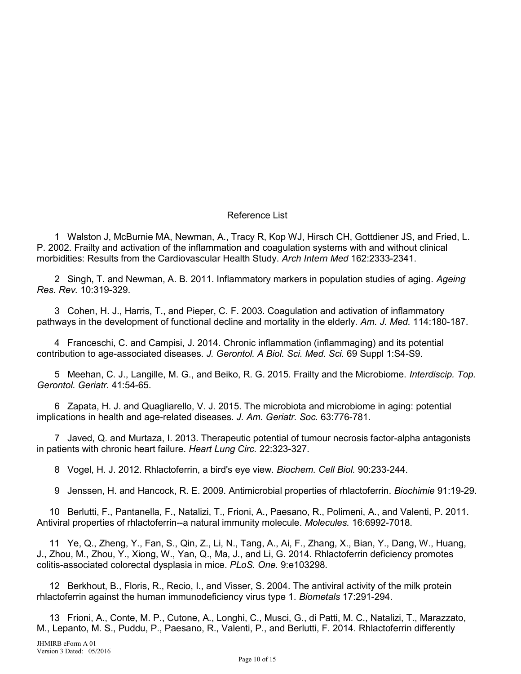#### Reference List

1 Walston J, McBurnie MA, Newman, A., Tracy R, Kop WJ, Hirsch CH, Gottdiener JS, and Fried, L. P. 2002. Frailty and activation of the inflammation and coagulation systems with and without clinical morbidities: Results from the Cardiovascular Health Study. *Arch Intern Med* 162:2333-2341.

2 Singh, T. and Newman, A. B. 2011. Inflammatory markers in population studies of aging. *Ageing Res. Rev.* 10:319-329.

3 Cohen, H. J., Harris, T., and Pieper, C. F. 2003. Coagulation and activation of inflammatory pathways in the development of functional decline and mortality in the elderly. *Am. J. Med.* 114:180-187.

4 Franceschi, C. and Campisi, J. 2014. Chronic inflammation (inflammaging) and its potential contribution to age-associated diseases. *J. Gerontol. A Biol. Sci. Med. Sci.* 69 Suppl 1:S4-S9.

5 Meehan, C. J., Langille, M. G., and Beiko, R. G. 2015. Frailty and the Microbiome. *Interdiscip. Top. Gerontol. Geriatr.* 41:54-65.

6 Zapata, H. J. and Quagliarello, V. J. 2015. The microbiota and microbiome in aging: potential implications in health and age-related diseases. *J. Am. Geriatr. Soc.* 63:776-781.

7 Javed, Q. and Murtaza, I. 2013. Therapeutic potential of tumour necrosis factor-alpha antagonists in patients with chronic heart failure. *Heart Lung Circ.* 22:323-327.

8 Vogel, H. J. 2012. Rhlactoferrin, a bird's eye view. *Biochem. Cell Biol.* 90:233-244.

9 Jenssen, H. and Hancock, R. E. 2009. Antimicrobial properties of rhlactoferrin. *Biochimie* 91:19-29.

10 Berlutti, F., Pantanella, F., Natalizi, T., Frioni, A., Paesano, R., Polimeni, A., and Valenti, P. 2011. Antiviral properties of rhlactoferrin--a natural immunity molecule. *Molecules.* 16:6992-7018.

11 Ye, Q., Zheng, Y., Fan, S., Qin, Z., Li, N., Tang, A., Ai, F., Zhang, X., Bian, Y., Dang, W., Huang, J., Zhou, M., Zhou, Y., Xiong, W., Yan, Q., Ma, J., and Li, G. 2014. Rhlactoferrin deficiency promotes colitis-associated colorectal dysplasia in mice. *PLoS. One.* 9:e103298.

12 Berkhout, B., Floris, R., Recio, I., and Visser, S. 2004. The antiviral activity of the milk protein rhlactoferrin against the human immunodeficiency virus type 1. *Biometals* 17:291-294.

13 Frioni, A., Conte, M. P., Cutone, A., Longhi, C., Musci, G., di Patti, M. C., Natalizi, T., Marazzato, M., Lepanto, M. S., Puddu, P., Paesano, R., Valenti, P., and Berlutti, F. 2014. Rhlactoferrin differently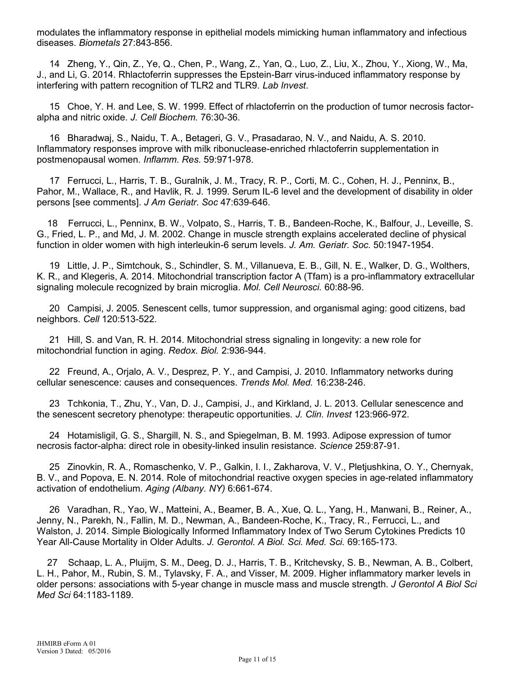modulates the inflammatory response in epithelial models mimicking human inflammatory and infectious diseases. *Biometals* 27:843-856.

14 Zheng, Y., Qin, Z., Ye, Q., Chen, P., Wang, Z., Yan, Q., Luo, Z., Liu, X., Zhou, Y., Xiong, W., Ma, J., and Li, G. 2014. Rhlactoferrin suppresses the Epstein-Barr virus-induced inflammatory response by interfering with pattern recognition of TLR2 and TLR9. *Lab Invest*.

15 Choe, Y. H. and Lee, S. W. 1999. Effect of rhlactoferrin on the production of tumor necrosis factoralpha and nitric oxide. *J. Cell Biochem.* 76:30-36.

16 Bharadwaj, S., Naidu, T. A., Betageri, G. V., Prasadarao, N. V., and Naidu, A. S. 2010. Inflammatory responses improve with milk ribonuclease-enriched rhlactoferrin supplementation in postmenopausal women. *Inflamm. Res.* 59:971-978.

17 Ferrucci, L., Harris, T. B., Guralnik, J. M., Tracy, R. P., Corti, M. C., Cohen, H. J., Penninx, B., Pahor, M., Wallace, R., and Havlik, R. J. 1999. Serum IL-6 level and the development of disability in older persons [see comments]. *J Am Geriatr. Soc* 47:639-646.

 18 Ferrucci, L., Penninx, B. W., Volpato, S., Harris, T. B., Bandeen-Roche, K., Balfour, J., Leveille, S. G., Fried, L. P., and Md, J. M. 2002. Change in muscle strength explains accelerated decline of physical function in older women with high interleukin-6 serum levels. *J. Am. Geriatr. Soc.* 50:1947-1954.

19 Little, J. P., Simtchouk, S., Schindler, S. M., Villanueva, E. B., Gill, N. E., Walker, D. G., Wolthers, K. R., and Klegeris, A. 2014. Mitochondrial transcription factor A (Tfam) is a pro-inflammatory extracellular signaling molecule recognized by brain microglia. *Mol. Cell Neurosci.* 60:88-96.

20 Campisi, J. 2005. Senescent cells, tumor suppression, and organismal aging: good citizens, bad neighbors. *Cell* 120:513-522.

21 Hill, S. and Van, R. H. 2014. Mitochondrial stress signaling in longevity: a new role for mitochondrial function in aging. *Redox. Biol.* 2:936-944.

22 Freund, A., Orjalo, A. V., Desprez, P. Y., and Campisi, J. 2010. Inflammatory networks during cellular senescence: causes and consequences. *Trends Mol. Med.* 16:238-246.

23 Tchkonia, T., Zhu, Y., Van, D. J., Campisi, J., and Kirkland, J. L. 2013. Cellular senescence and the senescent secretory phenotype: therapeutic opportunities. *J. Clin. Invest* 123:966-972.

24 Hotamisligil, G. S., Shargill, N. S., and Spiegelman, B. M. 1993. Adipose expression of tumor necrosis factor-alpha: direct role in obesity-linked insulin resistance. *Science* 259:87-91.

25 Zinovkin, R. A., Romaschenko, V. P., Galkin, I. I., Zakharova, V. V., Pletjushkina, O. Y., Chernyak, B. V., and Popova, E. N. 2014. Role of mitochondrial reactive oxygen species in age-related inflammatory activation of endothelium. *Aging (Albany. NY)* 6:661-674.

26 Varadhan, R., Yao, W., Matteini, A., Beamer, B. A., Xue, Q. L., Yang, H., Manwani, B., Reiner, A., Jenny, N., Parekh, N., Fallin, M. D., Newman, A., Bandeen-Roche, K., Tracy, R., Ferrucci, L., and Walston, J. 2014. Simple Biologically Informed Inflammatory Index of Two Serum Cytokines Predicts 10 Year All-Cause Mortality in Older Adults. *J. Gerontol. A Biol. Sci. Med. Sci.* 69:165-173.

 27 Schaap, L. A., Pluijm, S. M., Deeg, D. J., Harris, T. B., Kritchevsky, S. B., Newman, A. B., Colbert, L. H., Pahor, M., Rubin, S. M., Tylavsky, F. A., and Visser, M. 2009. Higher inflammatory marker levels in older persons: associations with 5-year change in muscle mass and muscle strength. *J Gerontol A Biol Sci Med Sci* 64:1183-1189.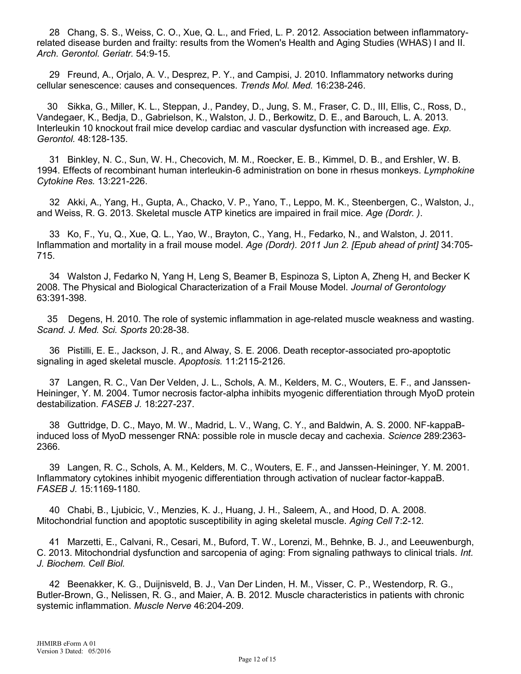28 Chang, S. S., Weiss, C. O., Xue, Q. L., and Fried, L. P. 2012. Association between inflammatoryrelated disease burden and frailty: results from the Women's Health and Aging Studies (WHAS) I and II. *Arch. Gerontol. Geriatr.* 54:9-15.

29 Freund, A., Orjalo, A. V., Desprez, P. Y., and Campisi, J. 2010. Inflammatory networks during cellular senescence: causes and consequences. *Trends Mol. Med.* 16:238-246.

 30 Sikka, G., Miller, K. L., Steppan, J., Pandey, D., Jung, S. M., Fraser, C. D., III, Ellis, C., Ross, D., Vandegaer, K., Bedja, D., Gabrielson, K., Walston, J. D., Berkowitz, D. E., and Barouch, L. A. 2013. Interleukin 10 knockout frail mice develop cardiac and vascular dysfunction with increased age. *Exp. Gerontol.* 48:128-135.

31 Binkley, N. C., Sun, W. H., Checovich, M. M., Roecker, E. B., Kimmel, D. B., and Ershler, W. B. 1994. Effects of recombinant human interleukin-6 administration on bone in rhesus monkeys. *Lymphokine Cytokine Res.* 13:221-226.

32 Akki, A., Yang, H., Gupta, A., Chacko, V. P., Yano, T., Leppo, M. K., Steenbergen, C., Walston, J., and Weiss, R. G. 2013. Skeletal muscle ATP kinetics are impaired in frail mice. *Age (Dordr. )*.

33 Ko, F., Yu, Q., Xue, Q. L., Yao, W., Brayton, C., Yang, H., Fedarko, N., and Walston, J. 2011. Inflammation and mortality in a frail mouse model. *Age (Dordr). 2011 Jun 2. [Epub ahead of print]* 34:705- 715.

34 Walston J, Fedarko N, Yang H, Leng S, Beamer B, Espinoza S, Lipton A, Zheng H, and Becker K 2008. The Physical and Biological Characterization of a Frail Mouse Model. *Journal of Gerontology* 63:391-398.

 35 Degens, H. 2010. The role of systemic inflammation in age-related muscle weakness and wasting. *Scand. J. Med. Sci. Sports* 20:28-38.

36 Pistilli, E. E., Jackson, J. R., and Alway, S. E. 2006. Death receptor-associated pro-apoptotic signaling in aged skeletal muscle. *Apoptosis.* 11:2115-2126.

37 Langen, R. C., Van Der Velden, J. L., Schols, A. M., Kelders, M. C., Wouters, E. F., and Janssen-Heininger, Y. M. 2004. Tumor necrosis factor-alpha inhibits myogenic differentiation through MyoD protein destabilization. *FASEB J.* 18:227-237.

38 Guttridge, D. C., Mayo, M. W., Madrid, L. V., Wang, C. Y., and Baldwin, A. S. 2000. NF-kappaBinduced loss of MyoD messenger RNA: possible role in muscle decay and cachexia. *Science* 289:2363- 2366.

39 Langen, R. C., Schols, A. M., Kelders, M. C., Wouters, E. F., and Janssen-Heininger, Y. M. 2001. Inflammatory cytokines inhibit myogenic differentiation through activation of nuclear factor-kappaB. *FASEB J.* 15:1169-1180.

40 Chabi, B., Ljubicic, V., Menzies, K. J., Huang, J. H., Saleem, A., and Hood, D. A. 2008. Mitochondrial function and apoptotic susceptibility in aging skeletal muscle. *Aging Cell* 7:2-12.

41 Marzetti, E., Calvani, R., Cesari, M., Buford, T. W., Lorenzi, M., Behnke, B. J., and Leeuwenburgh, C. 2013. Mitochondrial dysfunction and sarcopenia of aging: From signaling pathways to clinical trials. *Int. J. Biochem. Cell Biol.*

42 Beenakker, K. G., Duijnisveld, B. J., Van Der Linden, H. M., Visser, C. P., Westendorp, R. G., Butler-Brown, G., Nelissen, R. G., and Maier, A. B. 2012. Muscle characteristics in patients with chronic systemic inflammation. *Muscle Nerve* 46:204-209.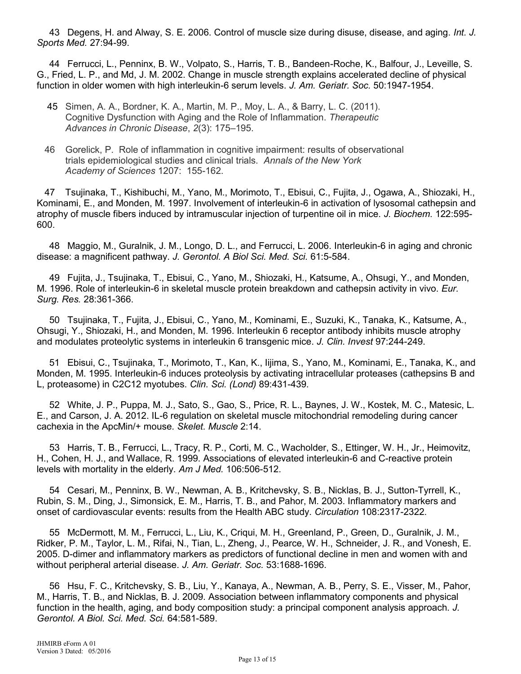43 Degens, H. and Alway, S. E. 2006. Control of muscle size during disuse, disease, and aging. *Int. J. Sports Med.* 27:94-99.

44 Ferrucci, L., Penninx, B. W., Volpato, S., Harris, T. B., Bandeen-Roche, K., Balfour, J., Leveille, S. G., Fried, L. P., and Md, J. M. 2002. Change in muscle strength explains accelerated decline of physical function in older women with high interleukin-6 serum levels. *J. Am. Geriatr. Soc.* 50:1947-1954.

- 45 Simen, A. A., Bordner, K. A., Martin, M. P., Moy, L. A., & Barry, L. C. (2011). Cognitive Dysfunction with Aging and the Role of Inflammation. *Therapeutic Advances in Chronic Disease*, *2*(3): 175–195.
- 46 Gorelick, P. Role of inflammation in cognitive impairment: results of observational trials epidemiological studies and clinical trials. *Annals of the New York Academy of Sciences* 1207: 155-162.

 47 Tsujinaka, T., Kishibuchi, M., Yano, M., Morimoto, T., Ebisui, C., Fujita, J., Ogawa, A., Shiozaki, H., Kominami, E., and Monden, M. 1997. Involvement of interleukin-6 in activation of lysosomal cathepsin and atrophy of muscle fibers induced by intramuscular injection of turpentine oil in mice. *J. Biochem.* 122:595- 600.

48 Maggio, M., Guralnik, J. M., Longo, D. L., and Ferrucci, L. 2006. Interleukin-6 in aging and chronic disease: a magnificent pathway. *J. Gerontol. A Biol Sci. Med. Sci.* 61:5-584.

49 Fujita, J., Tsujinaka, T., Ebisui, C., Yano, M., Shiozaki, H., Katsume, A., Ohsugi, Y., and Monden, M. 1996. Role of interleukin-6 in skeletal muscle protein breakdown and cathepsin activity in vivo. *Eur. Surg. Res.* 28:361-366.

50 Tsujinaka, T., Fujita, J., Ebisui, C., Yano, M., Kominami, E., Suzuki, K., Tanaka, K., Katsume, A., Ohsugi, Y., Shiozaki, H., and Monden, M. 1996. Interleukin 6 receptor antibody inhibits muscle atrophy and modulates proteolytic systems in interleukin 6 transgenic mice. *J. Clin. Invest* 97:244-249.

51 Ebisui, C., Tsujinaka, T., Morimoto, T., Kan, K., Iijima, S., Yano, M., Kominami, E., Tanaka, K., and Monden, M. 1995. Interleukin-6 induces proteolysis by activating intracellular proteases (cathepsins B and L, proteasome) in C2C12 myotubes. *Clin. Sci. (Lond)* 89:431-439.

52 White, J. P., Puppa, M. J., Sato, S., Gao, S., Price, R. L., Baynes, J. W., Kostek, M. C., Matesic, L. E., and Carson, J. A. 2012. IL-6 regulation on skeletal muscle mitochondrial remodeling during cancer cachexia in the ApcMin/+ mouse. *Skelet. Muscle* 2:14.

53 Harris, T. B., Ferrucci, L., Tracy, R. P., Corti, M. C., Wacholder, S., Ettinger, W. H., Jr., Heimovitz, H., Cohen, H. J., and Wallace, R. 1999. Associations of elevated interleukin-6 and C-reactive protein levels with mortality in the elderly. *Am J Med.* 106:506-512.

54 Cesari, M., Penninx, B. W., Newman, A. B., Kritchevsky, S. B., Nicklas, B. J., Sutton-Tyrrell, K., Rubin, S. M., Ding, J., Simonsick, E. M., Harris, T. B., and Pahor, M. 2003. Inflammatory markers and onset of cardiovascular events: results from the Health ABC study. *Circulation* 108:2317-2322.

55 McDermott, M. M., Ferrucci, L., Liu, K., Criqui, M. H., Greenland, P., Green, D., Guralnik, J. M., Ridker, P. M., Taylor, L. M., Rifai, N., Tian, L., Zheng, J., Pearce, W. H., Schneider, J. R., and Vonesh, E. 2005. D-dimer and inflammatory markers as predictors of functional decline in men and women with and without peripheral arterial disease. *J. Am. Geriatr. Soc.* 53:1688-1696.

56 Hsu, F. C., Kritchevsky, S. B., Liu, Y., Kanaya, A., Newman, A. B., Perry, S. E., Visser, M., Pahor, M., Harris, T. B., and Nicklas, B. J. 2009. Association between inflammatory components and physical function in the health, aging, and body composition study: a principal component analysis approach. *J. Gerontol. A Biol. Sci. Med. Sci.* 64:581-589.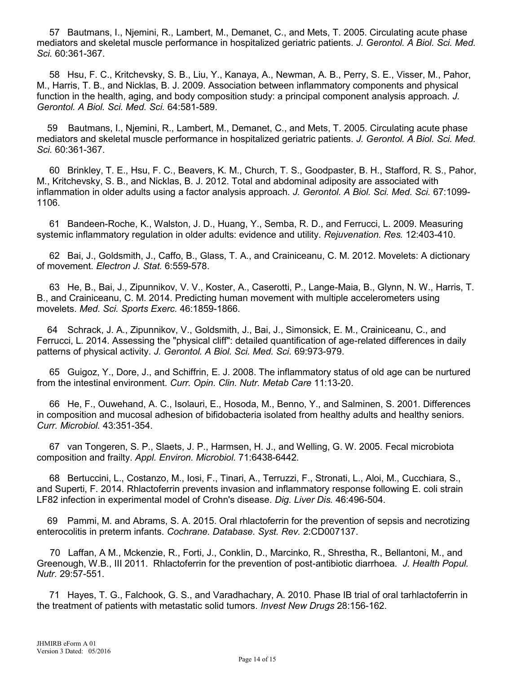57 Bautmans, I., Njemini, R., Lambert, M., Demanet, C., and Mets, T. 2005. Circulating acute phase mediators and skeletal muscle performance in hospitalized geriatric patients. *J. Gerontol. A Biol. Sci. Med. Sci.* 60:361-367.

58 Hsu, F. C., Kritchevsky, S. B., Liu, Y., Kanaya, A., Newman, A. B., Perry, S. E., Visser, M., Pahor, M., Harris, T. B., and Nicklas, B. J. 2009. Association between inflammatory components and physical function in the health, aging, and body composition study: a principal component analysis approach. *J. Gerontol. A Biol. Sci. Med. Sci.* 64:581-589.

 59 Bautmans, I., Njemini, R., Lambert, M., Demanet, C., and Mets, T. 2005. Circulating acute phase mediators and skeletal muscle performance in hospitalized geriatric patients. *J. Gerontol. A Biol. Sci. Med. Sci.* 60:361-367.

60 Brinkley, T. E., Hsu, F. C., Beavers, K. M., Church, T. S., Goodpaster, B. H., Stafford, R. S., Pahor, M., Kritchevsky, S. B., and Nicklas, B. J. 2012. Total and abdominal adiposity are associated with inflammation in older adults using a factor analysis approach. *J. Gerontol. A Biol. Sci. Med. Sci.* 67:1099- 1106.

61 Bandeen-Roche, K., Walston, J. D., Huang, Y., Semba, R. D., and Ferrucci, L. 2009. Measuring systemic inflammatory regulation in older adults: evidence and utility. *Rejuvenation. Res.* 12:403-410.

62 Bai, J., Goldsmith, J., Caffo, B., Glass, T. A., and Crainiceanu, C. M. 2012. Movelets: A dictionary of movement. *Electron J. Stat.* 6:559-578.

63 He, B., Bai, J., Zipunnikov, V. V., Koster, A., Caserotti, P., Lange-Maia, B., Glynn, N. W., Harris, T. B., and Crainiceanu, C. M. 2014. Predicting human movement with multiple accelerometers using movelets. *Med. Sci. Sports Exerc.* 46:1859-1866.

 64 Schrack, J. A., Zipunnikov, V., Goldsmith, J., Bai, J., Simonsick, E. M., Crainiceanu, C., and Ferrucci, L. 2014. Assessing the "physical cliff": detailed quantification of age-related differences in daily patterns of physical activity. *J. Gerontol. A Biol. Sci. Med. Sci.* 69:973-979.

65 Guigoz, Y., Dore, J., and Schiffrin, E. J. 2008. The inflammatory status of old age can be nurtured from the intestinal environment. *Curr. Opin. Clin. Nutr. Metab Care* 11:13-20.

66 He, F., Ouwehand, A. C., Isolauri, E., Hosoda, M., Benno, Y., and Salminen, S. 2001. Differences in composition and mucosal adhesion of bifidobacteria isolated from healthy adults and healthy seniors. *Curr. Microbiol.* 43:351-354.

67 van Tongeren, S. P., Slaets, J. P., Harmsen, H. J., and Welling, G. W. 2005. Fecal microbiota composition and frailty. *Appl. Environ. Microbiol.* 71:6438-6442.

68 Bertuccini, L., Costanzo, M., Iosi, F., Tinari, A., Terruzzi, F., Stronati, L., Aloi, M., Cucchiara, S., and Superti, F. 2014. Rhlactoferrin prevents invasion and inflammatory response following E. coli strain LF82 infection in experimental model of Crohn's disease. *Dig. Liver Dis.* 46:496-504.

 69 Pammi, M. and Abrams, S. A. 2015. Oral rhlactoferrin for the prevention of sepsis and necrotizing enterocolitis in preterm infants. *Cochrane. Database. Syst. Rev.* 2:CD007137.

 70 Laffan, A M., Mckenzie, R., Forti, J., Conklin, D., Marcinko, R., Shrestha, R., Bellantoni, M., and Greenough, W.B., III 2011. Rhlactoferrin for the prevention of post-antibiotic diarrhoea. *J. Health Popul. Nutr.* 29:57-551.

71 Hayes, T. G., Falchook, G. S., and Varadhachary, A. 2010. Phase IB trial of oral tarhlactoferrin in the treatment of patients with metastatic solid tumors. *Invest New Drugs* 28:156-162.